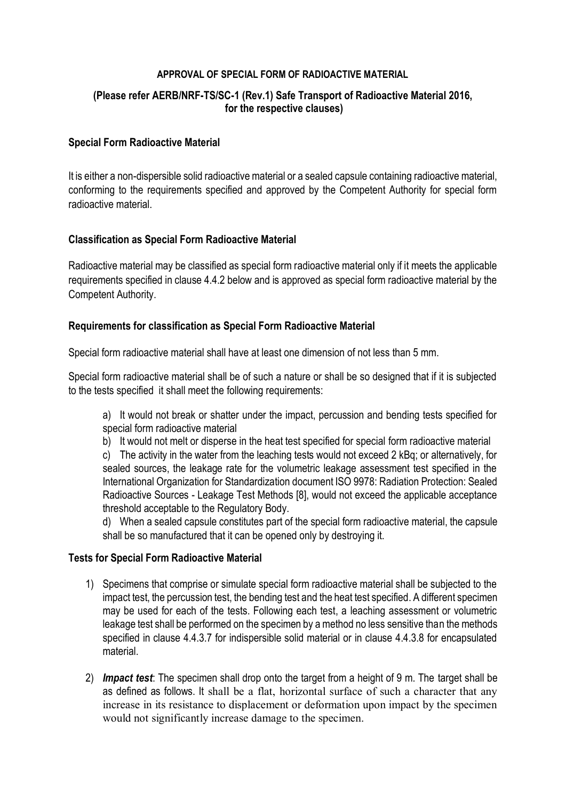### **APPROVAL OF SPECIAL FORM OF RADIOACTIVE MATERIAL**

# **(Please refer AERB/NRF-TS/SC-1 (Rev.1) [Safe Transport of Radioactive Material 2](http://www.aerb.gov.in/AERBPortal/pages/English/t/publications/CODESGUIDES/RF-TR-SC-1.pdf)016, for the respective clauses)**

## **Special Form Radioactive Material**

It is either a non-dispersible solid radioactive material or a sealed capsule containing radioactive material, conforming to the requirements specified and approved by the Competent Authority for special form radioactive material.

### **Classification as Special Form Radioactive Material**

Radioactive material may be classified as special form radioactive material only if it meets the applicable requirements specified in clause 4.4.2 below and is approved as special form radioactive material by the Competent Authority.

### **Requirements for classification as Special Form Radioactive Material**

Special form radioactive material shall have at least one dimension of not less than 5 mm.

Special form radioactive material shall be of such a nature or shall be so designed that if it is subjected to the tests specified it shall meet the following requirements:

a) It would not break or shatter under the impact, percussion and bending tests specified for special form radioactive material

b) It would not melt or disperse in the heat test specified for special form radioactive material

c) The activity in the water from the leaching tests would not exceed 2 kBq; or alternatively, for sealed sources, the leakage rate for the volumetric leakage assessment test specified in the International Organization for Standardization document ISO 9978: Radiation Protection: Sealed Radioactive Sources - Leakage Test Methods [8], would not exceed the applicable acceptance threshold acceptable to the Regulatory Body.

d) When a sealed capsule constitutes part of the special form radioactive material, the capsule shall be so manufactured that it can be opened only by destroying it.

#### **Tests for Special Form Radioactive Material**

- 1) Specimens that comprise or simulate special form radioactive material shall be subjected to the impact test, the percussion test, the bending test and the heat test specified. A different specimen may be used for each of the tests. Following each test, a leaching assessment or volumetric leakage test shall be performed on the specimen by a method no less sensitive than the methods specified in clause 4.4.3.7 for indispersible solid material or in clause 4.4.3.8 for encapsulated material.
- 2) *Impact test*: The specimen shall drop onto the target from a height of 9 m. The target shall be as defined as follows. It shall be a flat, horizontal surface of such a character that any increase in its resistance to displacement or deformation upon impact by the specimen would not significantly increase damage to the specimen.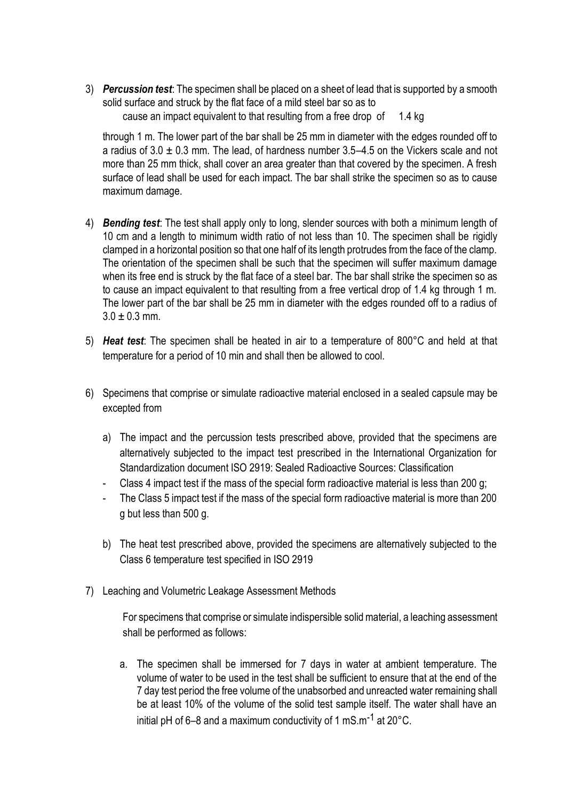3) *Percussion test*: The specimen shall be placed on a sheet of lead that is supported by a smooth solid surface and struck by the flat face of a mild steel bar so as to cause an impact equivalent to that resulting from a free drop of 1.4 kg

through 1 m. The lower part of the bar shall be 25 mm in diameter with the edges rounded off to a radius of  $3.0 \pm 0.3$  mm. The lead, of hardness number  $3.5-4.5$  on the Vickers scale and not more than 25 mm thick, shall cover an area greater than that covered by the specimen. A fresh surface of lead shall be used for each impact. The bar shall strike the specimen so as to cause maximum damage.

- 4) *Bending test*: The test shall apply only to long, slender sources with both a minimum length of 10 cm and a length to minimum width ratio of not less than 10. The specimen shall be rigidly clamped in a horizontal position so that one half of its length protrudes from the face of the clamp. The orientation of the specimen shall be such that the specimen will suffer maximum damage when its free end is struck by the flat face of a steel bar. The bar shall strike the specimen so as to cause an impact equivalent to that resulting from a free vertical drop of 1.4 kg through 1 m. The lower part of the bar shall be 25 mm in diameter with the edges rounded off to a radius of  $3.0 \pm 0.3$  mm.
- 5) *Heat test*: The specimen shall be heated in air to a temperature of 800°C and held at that temperature for a period of 10 min and shall then be allowed to cool.
- 6) Specimens that comprise or simulate radioactive material enclosed in a sealed capsule may be excepted from
	- a) The impact and the percussion tests prescribed above, provided that the specimens are alternatively subjected to the impact test prescribed in the International Organization for Standardization document ISO 2919: Sealed Radioactive Sources: Classification
	- Class 4 impact test if the mass of the special form radioactive material is less than 200 g;
	- The Class 5 impact test if the mass of the special form radioactive material is more than 200 g but less than 500 g.
	- b) The heat test prescribed above, provided the specimens are alternatively subjected to the Class 6 temperature test specified in ISO 2919
- 7) Leaching and Volumetric Leakage Assessment Methods

For specimens that comprise or simulate indispersible solid material, a leaching assessment shall be performed as follows:

a. The specimen shall be immersed for 7 days in water at ambient temperature. The volume of water to be used in the test shall be sufficient to ensure that at the end of the 7 day test period the free volume of the unabsorbed and unreacted water remaining shall be at least 10% of the volume of the solid test sample itself. The water shall have an initial pH of 6–8 and a maximum conductivity of 1 mS.m<sup>-1</sup> at 20 $^{\circ}$ C.